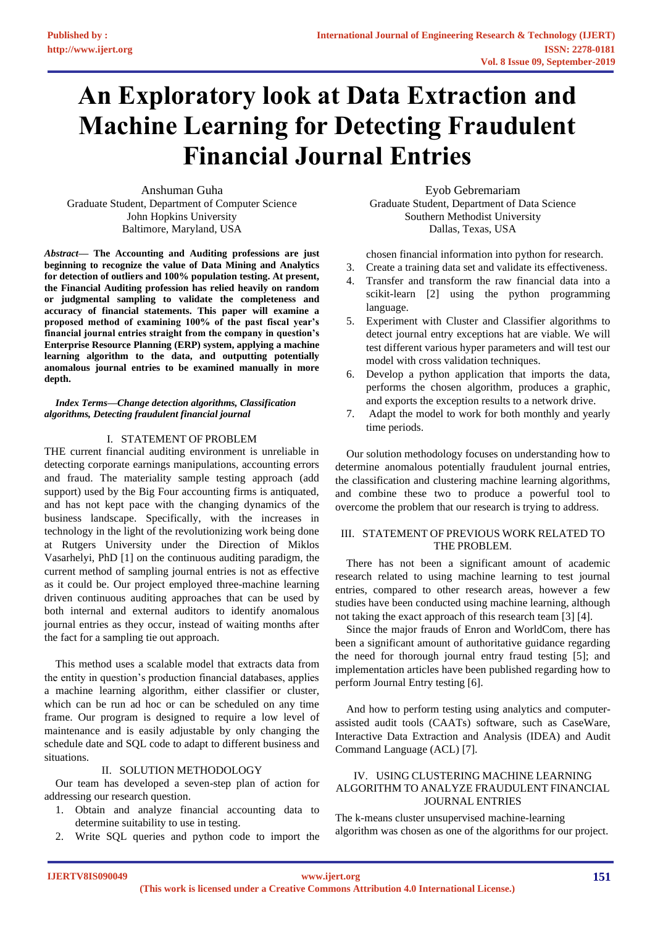# **An Exploratory look at Data Extraction and Machine Learning for Detecting Fraudulent Financial Journal Entries**

Anshuman Guha Graduate Student, Department of Computer Science John Hopkins University Baltimore, Maryland, USA

*Abstract***— The Accounting and Auditing professions are just beginning to recognize the value of Data Mining and Analytics for detection of outliers and 100% population testing. At present, the Financial Auditing profession has relied heavily on random or judgmental sampling to validate the completeness and accuracy of financial statements. This paper will examine a proposed method of examining 100% of the past fiscal year's financial journal entries straight from the company in question's Enterprise Resource Planning (ERP) system, applying a machine learning algorithm to the data, and outputting potentially anomalous journal entries to be examined manually in more depth.** 

*Index Terms—Change detection algorithms, Classification algorithms, Detecting fraudulent financial journal*

## I. STATEMENT OF PROBLEM

THE current financial auditing environment is unreliable in detecting corporate earnings manipulations, accounting errors and fraud. The materiality sample testing approach (add support) used by the Big Four accounting firms is antiquated, and has not kept pace with the changing dynamics of the business landscape. Specifically, with the increases in technology in the light of the revolutionizing work being done at Rutgers University under the Direction of Miklos Vasarhelyi, PhD [1] on the continuous auditing paradigm, the current method of sampling journal entries is not as effective as it could be. Our project employed three-machine learning driven continuous auditing approaches that can be used by both internal and external auditors to identify anomalous journal entries as they occur, instead of waiting months after the fact for a sampling tie out approach.

This method uses a scalable model that extracts data from the entity in question's production financial databases, applies a machine learning algorithm, either classifier or cluster, which can be run ad hoc or can be scheduled on any time frame. Our program is designed to require a low level of maintenance and is easily adjustable by only changing the schedule date and SQL code to adapt to different business and situations.

## II. SOLUTION METHODOLOGY

Our team has developed a seven-step plan of action for addressing our research question.

- 1. Obtain and analyze financial accounting data to determine suitability to use in testing.
- 2. Write SQL queries and python code to import the

Eyob Gebremariam Graduate Student, Department of Data Science Southern Methodist University Dallas, Texas, USA

chosen financial information into python for research.

- 3. Create a training data set and validate its effectiveness.
- 4. Transfer and transform the raw financial data into a scikit-learn [2] using the python programming language.
- 5. Experiment with Cluster and Classifier algorithms to detect journal entry exceptions hat are viable. We will test different various hyper parameters and will test our model with cross validation techniques.
- 6. Develop a python application that imports the data, performs the chosen algorithm, produces a graphic, and exports the exception results to a network drive.
- 7. Adapt the model to work for both monthly and yearly time periods.

Our solution methodology focuses on understanding how to determine anomalous potentially fraudulent journal entries, the classification and clustering machine learning algorithms, and combine these two to produce a powerful tool to overcome the problem that our research is trying to address.

## III. STATEMENT OF PREVIOUS WORK RELATED TO THE PROBLEM.

There has not been a significant amount of academic research related to using machine learning to test journal entries, compared to other research areas, however a few studies have been conducted using machine learning, although not taking the exact approach of this research team [3] [4].

Since the major frauds of Enron and WorldCom, there has been a significant amount of authoritative guidance regarding the need for thorough journal entry fraud testing [5]; and implementation articles have been published regarding how to perform Journal Entry testing [6].

And how to perform testing using analytics and computerassisted audit tools (CAATs) software, such as CaseWare, Interactive Data Extraction and Analysis (IDEA) and Audit Command Language (ACL) [7].

## IV. USING CLUSTERING MACHINE LEARNING ALGORITHM TO ANALYZE FRAUDULENT FINANCIAL JOURNAL ENTRIES

The k-means cluster unsupervised machine-learning algorithm was chosen as one of the algorithms for our project.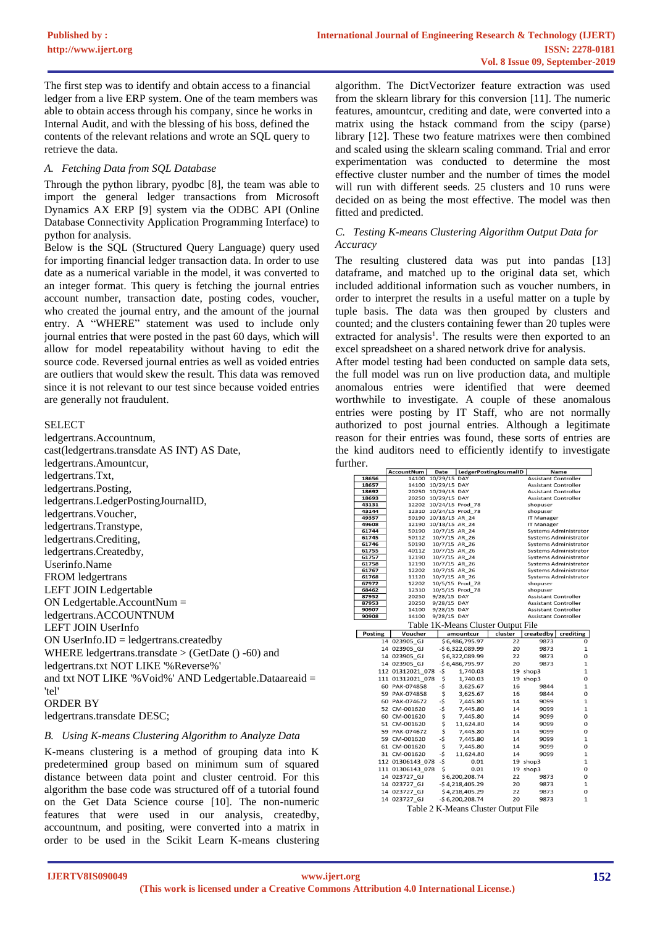The first step was to identify and obtain access to a financial ledger from a live ERP system. One of the team members was able to obtain access through his company, since he works in Internal Audit, and with the blessing of his boss, defined the contents of the relevant relations and wrote an SQL query to retrieve the data.

## *A. Fetching Data from SQL Database*

Through the python library, pyodbc [8], the team was able to import the general ledger transactions from Microsoft Dynamics AX ERP [9] system via the ODBC API (Online Database Connectivity Application Programming Interface) to python for analysis.

Below is the SQL (Structured Query Language) query used for importing financial ledger transaction data. In order to use date as a numerical variable in the model, it was converted to an integer format. This query is fetching the journal entries account number, transaction date, posting codes, voucher, who created the journal entry, and the amount of the journal entry. A "WHERE" statement was used to include only journal entries that were posted in the past 60 days, which will allow for model repeatability without having to edit the source code. Reversed journal entries as well as voided entries are outliers that would skew the result. This data was removed since it is not relevant to our test since because voided entries are generally not fraudulent.

### SELECT

ledgertrans.Accountnum, cast(ledgertrans.transdate AS INT) AS Date, ledgertrans.Amountcur, ledgertrans.Txt, ledgertrans.Posting, ledgertrans.LedgerPostingJournalID, ledgertrans.Voucher, ledgertrans.Transtype, ledgertrans.Crediting, ledgertrans.Createdby, Userinfo.Name FROM ledgertrans LEFT JOIN Ledgertable ON Ledgertable.AccountNum = ledgertrans.ACCOUNTNUM LEFT JOIN UserInfo ON UserInfo.ID = ledgertrans.createdby WHERE ledgertrans.transdate  $>(\text{GetDate }() - 60)$  and ledgertrans.txt NOT LIKE '%Reverse%' and txt NOT LIKE '%Void%' AND Ledgertable.Dataareaid = 'tel'

### ORDER BY

ledgertrans.transdate DESC;

### *B. Using K-means Clustering Algorithm to Analyze Data*

K-means clustering is a method of grouping data into K predetermined group based on minimum sum of squared distance between data point and cluster centroid. For this algorithm the base code was structured off of a tutorial found on the Get Data Science course [10]. The non-numeric features that were used in our analysis, createdby, accountnum, and positing, were converted into a matrix in order to be used in the Scikit Learn K-means clustering

algorithm. The DictVectorizer feature extraction was used from the sklearn library for this conversion [11]. The numeric features, amountcur, crediting and date, were converted into a matrix using the hstack command from the scipy (parse) library [12]. These two feature matrixes were then combined and scaled using the sklearn scaling command. Trial and error experimentation was conducted to determine the most effective cluster number and the number of times the model will run with different seeds. 25 clusters and 10 runs were decided on as being the most effective. The model was then fitted and predicted.

## *C. Testing K-means Clustering Algorithm Output Data for Accuracy*

The resulting clustered data was put into pandas [13] dataframe, and matched up to the original data set, which included additional information such as voucher numbers, in order to interpret the results in a useful matter on a tuple by tuple basis. The data was then grouped by clusters and counted; and the clusters containing fewer than 20 tuples were extracted for analysis<sup>1</sup>. The results were then exported to an excel spreadsheet on a shared network drive for analysis.

After model testing had been conducted on sample data sets, the full model was run on live production data, and multiple anomalous entries were identified that were deemed worthwhile to investigate. A couple of these anomalous entries were posting by IT Staff, who are not normally authorized to post journal entries. Although a legitimate reason for their entries was found, these sorts of entries are the kind auditors need to efficiently identify to investigate further.

|                | AccountNum       | Date                           |                  | LedgerPostingJournalID              |                             | <b>Name</b>                                           |  |
|----------------|------------------|--------------------------------|------------------|-------------------------------------|-----------------------------|-------------------------------------------------------|--|
| 18656          | 14100            | 10/29/15 DAY                   |                  |                                     | <b>Assistant Controller</b> |                                                       |  |
| 18657          | 14100            | 10/29/15 DAY                   |                  |                                     | <b>Assistant Controller</b> |                                                       |  |
| 18692          | 20250            | 10/29/15 DAY                   |                  |                                     | <b>Assistant Controller</b> |                                                       |  |
| 18693          | 20250            | 10/29/15 DAY                   |                  |                                     | <b>Assistant Controller</b> |                                                       |  |
| 43131          | 12202            | 10/24/15 Prod 78               |                  |                                     | shopuser                    |                                                       |  |
| 43144          | 12310            | 10/24/15 Prod 78               |                  |                                     | shopuser                    |                                                       |  |
| 49357          | 50190            | 10/18/15 AR 24                 |                  |                                     | <b>IT Manager</b>           |                                                       |  |
| 49608          | 12190            | 10/18/15 AR_24                 |                  |                                     | <b>IT Manager</b>           |                                                       |  |
| 61744          | 50190            | 10/7/15 AR 24                  |                  |                                     |                             | <b>Systems Administrator</b>                          |  |
| 61745<br>61746 | 50112<br>50190   | 10/7/15 AR_26                  |                  |                                     |                             | Systems Administrator<br><b>Systems Administrator</b> |  |
| 61755          | 40112            | 10/7/15 AR 26<br>10/7/15 AR_26 |                  |                                     |                             |                                                       |  |
| 61757          | 12190            | 10/7/15 AR_24                  |                  |                                     |                             | <b>Systems Administrator</b><br>Systems Administrator |  |
| 61758          | 12190            | 10/7/15 AR 26                  |                  |                                     |                             | Systems Administrator                                 |  |
| 61767          | 12202            | 10/7/15 AR 26                  |                  |                                     |                             | <b>Systems Administrator</b>                          |  |
| 61768          | 11120            | 10/7/15 AR 26                  |                  |                                     |                             | Systems Administrator                                 |  |
| 67972          | 12202            |                                | 10/5/15 Prod_78  |                                     | shopuser                    |                                                       |  |
| 68462          | 12310            |                                | 10/5/15 Prod 78  |                                     | shopuser                    |                                                       |  |
| 87952          | 20250            | 9/28/15 DAY                    |                  |                                     | <b>Assistant Controller</b> |                                                       |  |
| 87953          | 20250            | 9/28/15 DAY                    |                  |                                     | <b>Assistant Controller</b> |                                                       |  |
| 90907          | 14100            | 9/28/15 DAY                    |                  |                                     | <b>Assistant Controller</b> |                                                       |  |
| 90908          | 14100            | 9/28/15 DAY                    |                  |                                     | <b>Assistant Controller</b> |                                                       |  |
|                |                  |                                |                  | Table 1K-Means Cluster Output File  |                             |                                                       |  |
| <b>Posting</b> | Voucher          |                                | amountcur        | cluster                             | createdby                   | crediting                                             |  |
|                | 14 023905 GJ     |                                | \$6,486,795.97   | 22                                  | 9873                        | 0                                                     |  |
|                | 14 023905 GJ     |                                | -\$6,322,089.99  | 20                                  | 9873                        | $\mathbf{1}$                                          |  |
|                | 14 023905 GJ     |                                | \$6,322,089.99   | 22                                  | 9873                        | $\Omega$                                              |  |
|                | 14 023905 GJ     |                                | $-56,486,795.97$ | 20                                  | 9873                        | $\mathbf{1}$                                          |  |
|                | 112 01312021 078 | -\$                            | 1,740.03         |                                     | 19 shop3                    | $\mathbf{1}$                                          |  |
|                | 111 01312021 078 | \$                             | 1,740.03         |                                     | 19 shop3                    | 0                                                     |  |
|                | 60 PAK-074858    | -\$                            | 3,625.67         | 16                                  | 9844                        | 1                                                     |  |
|                | 59 PAK-074858    | \$                             | 3,625.67         | 16                                  | 9844                        | 0                                                     |  |
|                | 60 PAK-074672    | -\$                            | 7,445.80         | 14                                  | 9099                        | $\mathbf{1}$                                          |  |
|                | 52 CM-001620     | -\$                            | 7,445.80         | 14                                  | 9099                        | $\mathbf 1$                                           |  |
|                |                  |                                |                  | 14                                  |                             | 0                                                     |  |
|                | 60 CM-001620     | \$                             | 7,445.80         |                                     | 9099                        |                                                       |  |
|                | 51 CM-001620     | \$                             | 11,624.80        | 14                                  | 9099                        | o                                                     |  |
|                | 59 PAK-074672    | \$                             | 7,445.80         | 14                                  | 9099                        | 0                                                     |  |
|                | 59 CM-001620     | -\$                            | 7,445.80         | 14                                  | 9099                        | 1                                                     |  |
|                | 61 CM-001620     | \$                             | 7,445.80         | 14                                  | 9099                        | 0                                                     |  |
|                | 31 CM-001620     | -\$                            | 11,624.80        | 14                                  | 9099                        | $\mathbf{1}$                                          |  |
|                | 112 01306143 078 | -\$                            | 0.01             |                                     | 19 shop3                    | $\mathbf{1}$                                          |  |
|                | 111 01306143 078 | \$                             | 0.01             |                                     | 19 shop3                    | 0                                                     |  |
|                | 14 023727 GJ     |                                | \$6,200,208.74   | 22                                  | 9873                        | 0                                                     |  |
|                | 14 023727 GJ     |                                | $-54,218,405.29$ | 20                                  | 9873                        | $\mathbf{1}$                                          |  |
|                | 14 023727 GJ     |                                | \$4,218,405.29   | 22                                  | 9873                        | 0                                                     |  |
|                | 14 023727 GJ     |                                | $-56,200,208.74$ | 20                                  | 9873                        | $\mathbf{1}$                                          |  |
|                |                  |                                |                  |                                     |                             |                                                       |  |
|                |                  |                                |                  | Table 2 K-Means Cluster Output File |                             |                                                       |  |

Table 2 K-Means Cluster Output File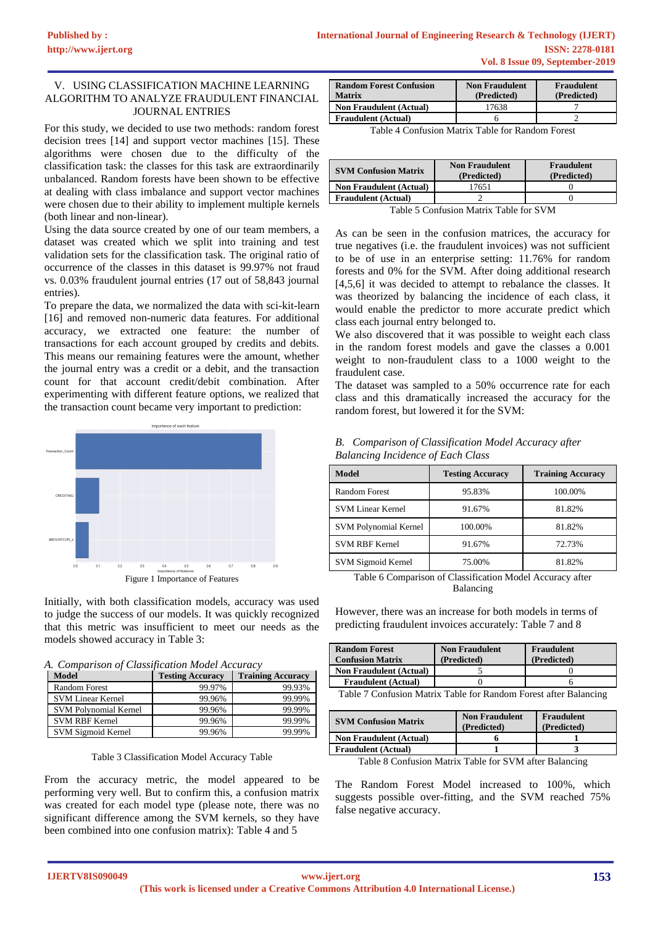## V. USING CLASSIFICATION MACHINE LEARNING ALGORITHM TO ANALYZE FRAUDULENT FINANCIAL JOURNAL ENTRIES

For this study, we decided to use two methods: random forest decision trees [14] and support vector machines [15]. These algorithms were chosen due to the difficulty of the classification task: the classes for this task are extraordinarily unbalanced. Random forests have been shown to be effective at dealing with class imbalance and support vector machines were chosen due to their ability to implement multiple kernels (both linear and non-linear).

Using the data source created by one of our team members, a dataset was created which we split into training and test validation sets for the classification task. The original ratio of occurrence of the classes in this dataset is 99.97% not fraud vs. 0.03% fraudulent journal entries (17 out of 58,843 journal entries).

To prepare the data, we normalized the data with sci-kit-learn [16] and removed non-numeric data features. For additional accuracy, we extracted one feature: the number of transactions for each account grouped by credits and debits. This means our remaining features were the amount, whether the journal entry was a credit or a debit, and the transaction count for that account credit/debit combination. After experimenting with different feature options, we realized that the transaction count became very important to prediction:



Initially, with both classification models, accuracy was used to judge the success of our models. It was quickly recognized that this metric was insufficient to meet our needs as the models showed accuracy in Table 3:

|  |  | A. Comparison of Classification Model Accuracy |
|--|--|------------------------------------------------|
|  |  |                                                |

| $\ldots$ comparison of classif<br><b>Model</b> | <b>Testing Accuracy</b> | <b>Training Accuracy</b> |  |
|------------------------------------------------|-------------------------|--------------------------|--|
| <b>Random Forest</b>                           | 99.97%                  | 99.93%                   |  |
| <b>SVM Linear Kernel</b>                       | 99.96%                  | 99.99%                   |  |
| <b>SVM Polynomial Kernel</b>                   | 99.96%                  | 99.99%                   |  |
| <b>SVM RBF Kernel</b>                          | 99.96%                  | 99.99%                   |  |
| SVM Sigmoid Kernel                             | 99.96%                  | 99.99%                   |  |

Table 3 Classification Model Accuracy Table

From the accuracy metric, the model appeared to be performing very well. But to confirm this, a confusion matrix was created for each model type (please note, there was no significant difference among the SVM kernels, so they have been combined into one confusion matrix): Table 4 and 5

| <b>Random Forest Confusion</b><br><b>Matrix</b> | <b>Non Fraudulent</b><br>(Predicted) | <b>Fraudulent</b><br>(Predicted) |  |  |
|-------------------------------------------------|--------------------------------------|----------------------------------|--|--|
| <b>Non Fraudulent (Actual)</b>                  | 17638                                |                                  |  |  |
| <b>Fraudulent</b> (Actual)                      |                                      |                                  |  |  |

Table 4 Confusion Matrix Table for Random Forest

| <b>SVM Confusion Matrix</b>    | <b>Non Fraudulent</b><br>(Predicted) | <b>Fraudulent</b><br>(Predicted) |
|--------------------------------|--------------------------------------|----------------------------------|
| <b>Non Fraudulent (Actual)</b> | 17651                                |                                  |
| <b>Fraudulent</b> (Actual)     |                                      |                                  |
|                                |                                      |                                  |

Table 5 Confusion Matrix Table for SVM

As can be seen in the confusion matrices, the accuracy for true negatives (i.e. the fraudulent invoices) was not sufficient to be of use in an enterprise setting: 11.76% for random forests and 0% for the SVM. After doing additional research [4,5,6] it was decided to attempt to rebalance the classes. It was theorized by balancing the incidence of each class, it would enable the predictor to more accurate predict which class each journal entry belonged to.

We also discovered that it was possible to weight each class in the random forest models and gave the classes a 0.001 weight to non-fraudulent class to a 1000 weight to the fraudulent case.

The dataset was sampled to a 50% occurrence rate for each class and this dramatically increased the accuracy for the random forest, but lowered it for the SVM:

| <b>B.</b> Comparison of Classification Model Accuracy after |
|-------------------------------------------------------------|
| <b>Balancing Incidence of Each Class</b>                    |

| Model                        | <b>Testing Accuracy</b> | <b>Training Accuracy</b> |
|------------------------------|-------------------------|--------------------------|
| <b>Random Forest</b>         | 95.83%                  | 100.00%                  |
| <b>SVM Linear Kernel</b>     | 91.67%                  | 81.82%                   |
| <b>SVM Polynomial Kernel</b> | 100.00%                 | 81.82%                   |
| <b>SVM RBF Kernel</b>        | 91.67%                  | 72.73%                   |
| SVM Sigmoid Kernel           | 75.00%                  | 81.82%                   |

Table 6 Comparison of Classification Model Accuracy after Balancing

However, there was an increase for both models in terms of predicting fraudulent invoices accurately: Table 7 and 8

| <b>Random Forest</b><br><b>Confusion Matrix</b>                  | <b>Non Fraudulent</b><br>(Predicted) | <b>Fraudulent</b><br>(Predicted) |  |  |
|------------------------------------------------------------------|--------------------------------------|----------------------------------|--|--|
| <b>Non Fraudulent (Actual)</b>                                   |                                      |                                  |  |  |
| <b>Fraudulent</b> (Actual)                                       |                                      |                                  |  |  |
| Table 7 Confusion Matrix Table for Random Forest after Ralancing |                                      |                                  |  |  |

| Table 7 Confusion Matrix Table for Random Forest after Balancing |  |  |  |  |
|------------------------------------------------------------------|--|--|--|--|
|                                                                  |  |  |  |  |

| <b>SVM Confusion Matrix</b>    | <b>Non Fraudulent</b><br>(Predicted) | Fraudulent<br>(Predicted) |
|--------------------------------|--------------------------------------|---------------------------|
| <b>Non Fraudulent (Actual)</b> |                                      |                           |
| <b>Fraudulent</b> (Actual)     |                                      |                           |

Table 8 Confusion Matrix Table for SVM after Balancing

The Random Forest Model increased to 100%, which suggests possible over-fitting, and the SVM reached 75% false negative accuracy.